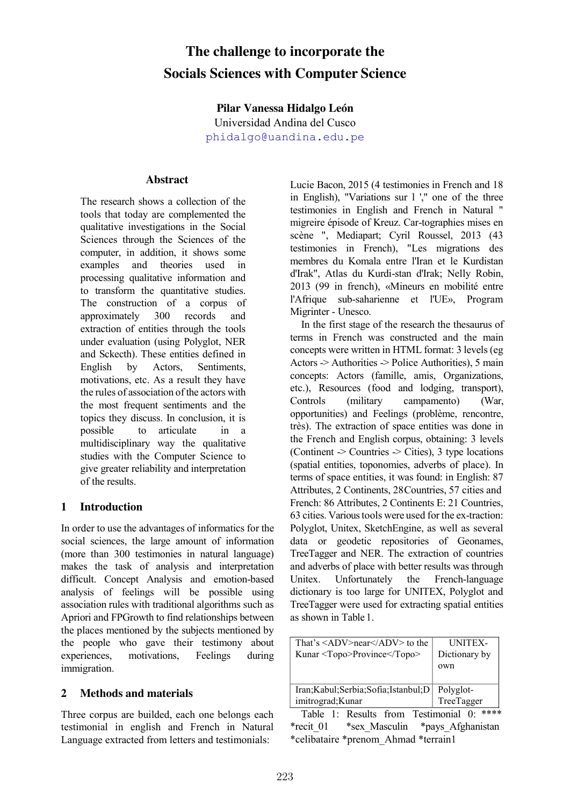# **The challenge to incorporate the Socials Sciences with Computer Science**

**Pilar Vanessa Hidalgo León**  Universidad Andina del Cusco phidalgo@uandina.edu.pe

#### **Abstract**

The research shows a collection of the tools that today are complemented the qualitative investigations in the Social Sciences through the Sciences of the computer, in addition, it shows some examples and theories used in processing qualitative information and to transform the quantitative studies. The construction of a corpus of approximately 300 records and extraction of entities through the tools under evaluation (using Polyglot, NER and Sckecth). These entities defined in English by Actors, Sentiments, motivations, etc. As a result they have the rules of association of the actors with the most frequent sentiments and the topics they discuss. In conclusion, it is possible to articulate in a multidisciplinary way the qualitative studies with the Computer Science to give greater reliability and interpretation of the results.

## **1 Introduction**

In order to use the advantages of informatics for the social sciences, the large amount of information (more than 300 testimonies in natural language) makes the task of analysis and interpretation difficult. Concept Analysis and emotion-based analysis of feelings will be possible using association rules with traditional algorithms such as Apriori and FPGrowth to find relationships between the places mentioned by the subjects mentioned by the people who gave their testimony about experiences, motivations, Feelings during immigration.

## **2 Methods and materials**

Three corpus are builded, each one belongs each testimonial in english and French in Natural Language extracted from letters and testimonials:

Lucie Bacon, 2015 (4 testimonies in French and 18 in English), "Variations sur l '," one of the three testimonies in English and French in Natural " migreire épisode of Kreuz. Car-tographies mises en scène ", Mediapart; Cyril Roussel, 2013 (43 testimonies in French), "Les migrations des membres du Komala entre l'Iran et le Kurdistan d'Irak", Atlas du Kurdi-stan d'Irak; Nelly Robin, 2013 (99 in french), «Mineurs en mobilité entre l'Afrique sub-saharienne et l'UE», Program Migrinter - Unesco.

In the first stage of the research the thesaurus of terms in French was constructed and the main concepts were written in HTML format: 3 levels (eg Actors -> Authorities -> Police Authorities), 5 main concepts: Actors (famille, amis, Organizations, etc.), Resources (food and lodging, transport), Controls (military campamento) (War, opportunities) and Feelings (problème, rencontre, très). The extraction of space entities was done in the French and English corpus, obtaining: 3 levels (Continent -> Countries -> Cities), 3 type locations (spatial entities, toponomies, adverbs of place). In terms of space entities, it was found: in English: 87 Attributes, 2 Continents, 28Countries, 57 cities and French: 86 Attributes, 2 Continents E: 21 Countries, 63 cities. Various tools were used for the ex-traction: Polyglot, Unitex, SketchEngine, as well as several data or geodetic repositories of Geonames, TreeTagger and NER. The extraction of countries and adverbs of place with better results was through Unitex. Unfortunately the French-language dictionary is too large for UNITEX, Polyglot and TreeTagger were used for extracting spatial entities as shown in Table 1.

| That's $\langle ADV\rangle$ near $\langle ADV\rangle$ to the<br>Kunar <topo>Province</topo> | <b>UNITEX-</b><br>Dictionary by<br>own |
|---------------------------------------------------------------------------------------------|----------------------------------------|
| Iran; Kabul; Serbia; Sofia; Istanbul; D                                                     | Polyglot-                              |
| imitrograd; Kunar                                                                           | TreeTagger                             |

Table 1: Results from Testimonial 0: \*\*\*\* \*recit\_01 \*sex\_Masculin \*pays\_Afghanistan \*celibataire \*prenom\_Ahmad \*terrain1